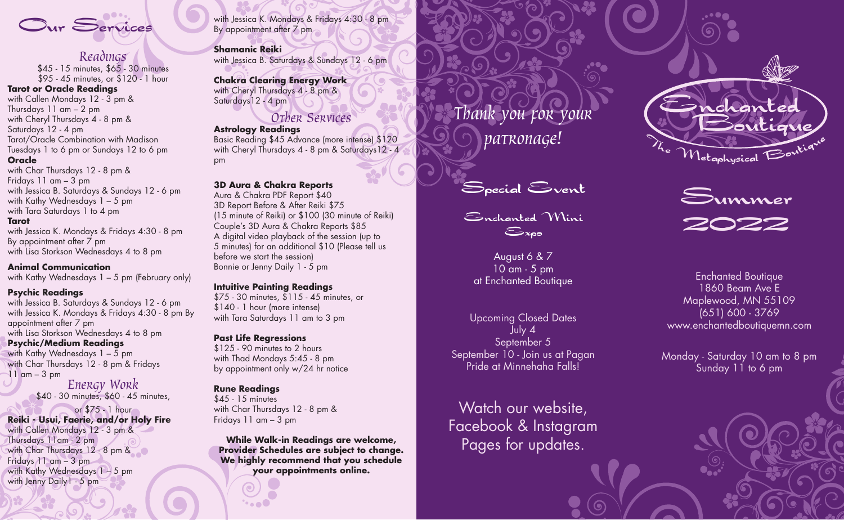

 $\mathcal{R}$ eadings<br>\$45 - 15 minutes, \$65 - 30 minutes \$95 - 45 minutes, or \$120 - 1 hour

### **Tarot or Oracle Readings**

with Callen Mondays 12 - 3 pm & Thursdays 11 am – 2 pm with Cheryl Thursdays 4 - 8 pm & Saturdays 12 - 4 pm Tarot/Oracle Combination with Madison Tuesdays 1 to 6 pm or Sundays 12 to 6 pm **Oracle** with Char Thursdays 12 - 8 pm &

Fridays 11 am – 3 pm with Jessica B. Saturdays & Sundays 12 - 6 pm with Kathy Wednesdays 1 - 5 pm with Tara Saturdays 1 to 4 pm

#### **Tarot**

with Jessica K. Mondays & Fridays 4:30 - 8 pm By appointment after 7 pm with Lisa Storkson Wednesdays 4 to 8 pm

#### **Animal Communication**

with Kathy Wednesdays 1 – 5 pm (February only)

#### **Psychic Readings**

with Jessica B. Saturdays & Sundays 12 - 6 pm with Jessica K. Mondays & Fridays 4:30 - 8 pm By appointment after 7 pm with Lisa Storkson Wednesdays 4 to 8 pm

### **Psychic/Medium Readings**

with Jenny Daily1 - 5 pm

with Kathy Wednesdays  $1 - 5$  pm with Char Thursdays 12 - 8 pm & Fridays  $11$  am  $-3$  pm

# $E$ nergy Work<br>\$40 - 30 minutes, \$60 - 45 minutes,

or \$75 - 1 hour **Reiki - Usui, Faerie, and/or Holy Fire** with Callen Mondays 12 - 3 pm & Thursdays 11am - 2 pm with Char Thursdays 12 - 8 pm & Fridays 11 am – 3 pm with Kathy Wednesdays 1-5 pm

with Jessica K. Mondays & Fridays 4:30 - 8 pm By appointment after 7 pm

#### **Shamanic Reiki**

with Jessica B. Saturdays & Sundays 12 - 6 pm

**Chakra Clearing Energy Work** with Cheryl Thursdays 4 - 8 pm & Saturdays 12 - 4 pm

# Other Services

**Astrology Readings**

Basic Reading \$45 Advance (more intense) \$120 with Cheryl Thursdays 4 - 8 pm & Saturdays12 - 4 pm

### **3D Aura & Chakra Reports**

Aura & Chakra PDF Report \$40 3D Report Before & After Reiki \$75 (15 minute of Reiki) or \$100 (30 minute of Reiki) Couple's 3D Aura & Chakra Reports \$85 A digital video playback of the session (up to 5 minutes) for an additional \$10 (Please tell us before we start the session) Bonnie or Jenny Daily 1 - 5 pm

#### **Intuitive Painting Readings**

\$75 - 30 minutes, \$115 - 45 minutes, or \$140 - 1 hour (more intense) with Tara Saturdays 11 am to 3 pm

# **Past Life Regressions**

\$125 - 90 minutes to 2 hours with Thad Mondays 5:45 - 8 pm by appointment only w/24 hr notice

# **Rune Readings**

\$45 - 15 minutes with Char Thursdays 12 - 8 pm & Fridays 11 am – 3 pm

**While Walk-in Readings are welcome, Provider Schedules are subject to change. We highly recommend that you schedule your appointments online.**

Thank you for your patronage!

Special Event

Enchanted Mini  $\epsilon$ 

August 6 & 7 10 am - 5 pm at Enchanted Boutique

Upcoming Closed Dates July 4 September 5 September 10 - Join us at Pagan Pride at Minnehaha Falls!

Watch our website, Facebook & Instagram Pages for updates.





Enchanted Boutique 1860 Beam Ave E Maplewood, MN 55109 (651) 600 - 3769 www.enchantedboutiquemn.com

Monday - Saturday 10 am to 8 pm Sunday 11 to 6 pm